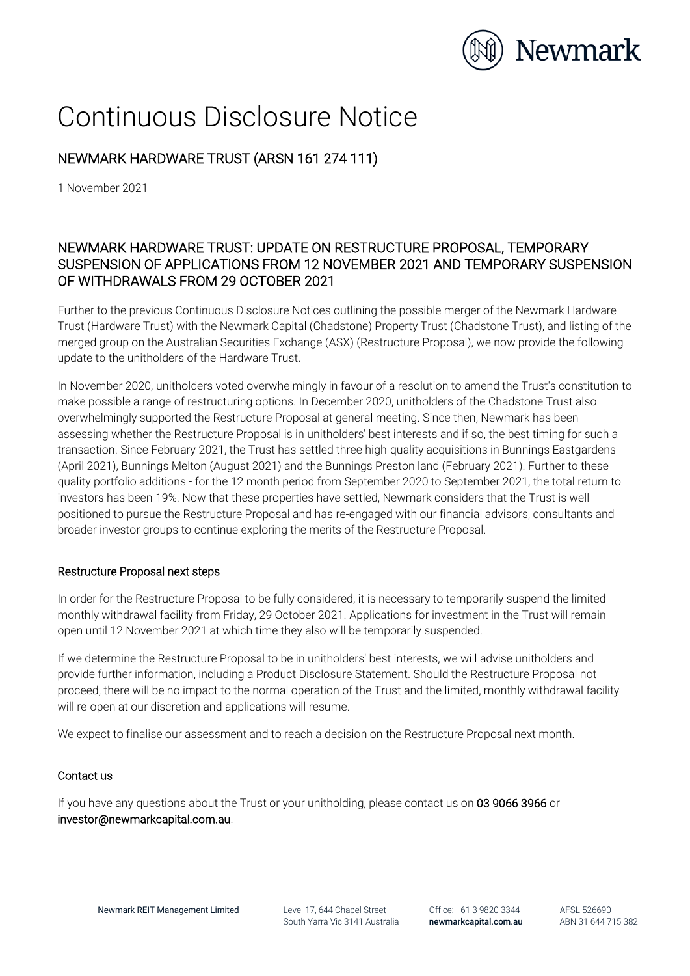

# Continuous Disclosure Notice

## NEWMARK HARDWARE TRUST (ARSN 161 274 111)

1 November 2021

## NEWMARK HARDWARE TRUST: UPDATE ON RESTRUCTURE PROPOSAL, TEMPORARY SUSPENSION OF APPLICATIONS FROM 12 NOVEMBER 2021 AND TEMPORARY SUSPENSION OF WITHDRAWALS FROM 29 OCTOBER 2021

Further to the previous Continuous Disclosure Notices outlining the possible merger of the Newmark Hardware Trust (Hardware Trust) with the Newmark Capital (Chadstone) Property Trust (Chadstone Trust), and listing of the merged group on the Australian Securities Exchange (ASX) (Restructure Proposal), we now provide the following update to the unitholders of the Hardware Trust.

In November 2020, unitholders voted overwhelmingly in favour of a resolution to amend the Trust's constitution to make possible a range of restructuring options. In December 2020, unitholders of the Chadstone Trust also overwhelmingly supported the Restructure Proposal at general meeting. Since then, Newmark has been assessing whether the Restructure Proposal is in unitholders' best interests and if so, the best timing for such a transaction. Since February 2021, the Trust has settled three high-quality acquisitions in Bunnings Eastgardens (April 2021), Bunnings Melton (August 2021) and the Bunnings Preston land (February 2021). Further to these quality portfolio additions - for the 12 month period from September 2020 to September 2021, the total return to investors has been 19%. Now that these properties have settled, Newmark considers that the Trust is well positioned to pursue the Restructure Proposal and has re-engaged with our financial advisors, consultants and broader investor groups to continue exploring the merits of the Restructure Proposal.

#### Restructure Proposal next steps

In order for the Restructure Proposal to be fully considered, it is necessary to temporarily suspend the limited monthly withdrawal facility from Friday, 29 October 2021. Applications for investment in the Trust will remain open until 12 November 2021 at which time they also will be temporarily suspended.

If we determine the Restructure Proposal to be in unitholders' best interests, we will advise unitholders and provide further information, including a Product Disclosure Statement. Should the Restructure Proposal not proceed, there will be no impact to the normal operation of the Trust and the limited, monthly withdrawal facility will re-open at our discretion and applications will resume.

We expect to finalise our assessment and to reach a decision on the Restructure Proposal next month.

### Contact us

If you have any questions about the Trust or your unitholding, please contact us on 03 9066 3966 or investor@newmarkcapital.com.au.